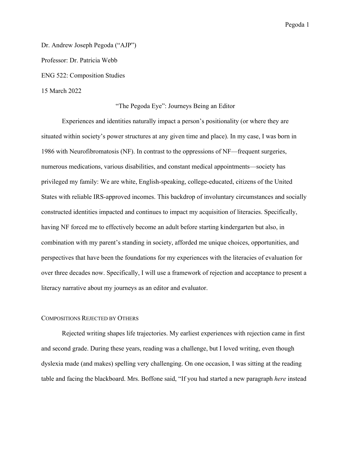Dr. Andrew Joseph Pegoda ("AJP") Professor: Dr. Patricia Webb ENG 522: Composition Studies 15 March 2022

### "The Pegoda Eye": Journeys Being an Editor

Experiences and identities naturally impact a person's positionality (or where they are situated within society's power structures at any given time and place). In my case, I was born in 1986 with Neurofibromatosis (NF). In contrast to the oppressions of NF—frequent surgeries, numerous medications, various disabilities, and constant medical appointments—society has privileged my family: We are white, English-speaking, college-educated, citizens of the United States with reliable IRS-approved incomes. This backdrop of involuntary circumstances and socially constructed identities impacted and continues to impact my acquisition of literacies. Specifically, having NF forced me to effectively become an adult before starting kindergarten but also, in combination with my parent's standing in society, afforded me unique choices, opportunities, and perspectives that have been the foundations for my experiences with the literacies of evaluation for over three decades now. Specifically, I will use a framework of rejection and acceptance to present a literacy narrative about my journeys as an editor and evaluator.

### COMPOSITIONS REJECTED BY OTHERS

Rejected writing shapes life trajectories. My earliest experiences with rejection came in first and second grade. During these years, reading was a challenge, but I loved writing, even though dyslexia made (and makes) spelling very challenging. On one occasion, I was sitting at the reading table and facing the blackboard. Mrs. Boffone said, "If you had started a new paragraph *here* instead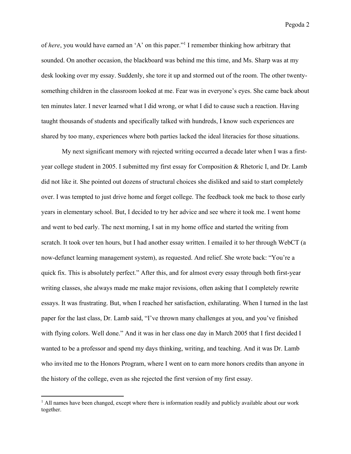of *here*, you would have earned an 'A' on this paper."1 I remember thinking how arbitrary that sounded. On another occasion, the blackboard was behind me this time, and Ms. Sharp was at my desk looking over my essay. Suddenly, she tore it up and stormed out of the room. The other twentysomething children in the classroom looked at me. Fear was in everyone's eyes. She came back about ten minutes later. I never learned what I did wrong, or what I did to cause such a reaction. Having taught thousands of students and specifically talked with hundreds, I know such experiences are shared by too many, experiences where both parties lacked the ideal literacies for those situations.

My next significant memory with rejected writing occurred a decade later when I was a firstyear college student in 2005. I submitted my first essay for Composition & Rhetoric I, and Dr. Lamb did not like it. She pointed out dozens of structural choices she disliked and said to start completely over. I was tempted to just drive home and forget college. The feedback took me back to those early years in elementary school. But, I decided to try her advice and see where it took me. I went home and went to bed early. The next morning, I sat in my home office and started the writing from scratch. It took over ten hours, but I had another essay written. I emailed it to her through WebCT (a now-defunct learning management system), as requested. And relief. She wrote back: "You're a quick fix. This is absolutely perfect." After this, and for almost every essay through both first-year writing classes, she always made me make major revisions, often asking that I completely rewrite essays. It was frustrating. But, when I reached her satisfaction, exhilarating. When I turned in the last paper for the last class, Dr. Lamb said, "I've thrown many challenges at you, and you've finished with flying colors. Well done." And it was in her class one day in March 2005 that I first decided I wanted to be a professor and spend my days thinking, writing, and teaching. And it was Dr. Lamb who invited me to the Honors Program, where I went on to earn more honors credits than anyone in the history of the college, even as she rejected the first version of my first essay.

<sup>&</sup>lt;sup>1</sup> All names have been changed, except where there is information readily and publicly available about our work together.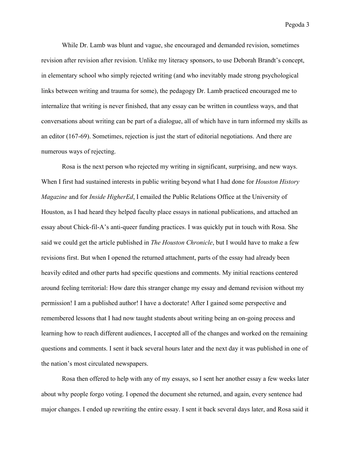While Dr. Lamb was blunt and vague, she encouraged and demanded revision, sometimes revision after revision after revision. Unlike my literacy sponsors, to use Deborah Brandt's concept, in elementary school who simply rejected writing (and who inevitably made strong psychological links between writing and trauma for some), the pedagogy Dr. Lamb practiced encouraged me to internalize that writing is never finished, that any essay can be written in countless ways, and that conversations about writing can be part of a dialogue, all of which have in turn informed my skills as an editor (167-69). Sometimes, rejection is just the start of editorial negotiations. And there are numerous ways of rejecting.

Rosa is the next person who rejected my writing in significant, surprising, and new ways. When I first had sustained interests in public writing beyond what I had done for *Houston History Magazine* and for *Inside HigherEd*, I emailed the Public Relations Office at the University of Houston, as I had heard they helped faculty place essays in national publications, and attached an essay about Chick-fil-A's anti-queer funding practices. I was quickly put in touch with Rosa. She said we could get the article published in *The Houston Chronicle*, but I would have to make a few revisions first. But when I opened the returned attachment, parts of the essay had already been heavily edited and other parts had specific questions and comments. My initial reactions centered around feeling territorial: How dare this stranger change my essay and demand revision without my permission! I am a published author! I have a doctorate! After I gained some perspective and remembered lessons that I had now taught students about writing being an on-going process and learning how to reach different audiences, I accepted all of the changes and worked on the remaining questions and comments. I sent it back several hours later and the next day it was published in one of the nation's most circulated newspapers.

Rosa then offered to help with any of my essays, so I sent her another essay a few weeks later about why people forgo voting. I opened the document she returned, and again, every sentence had major changes. I ended up rewriting the entire essay. I sent it back several days later, and Rosa said it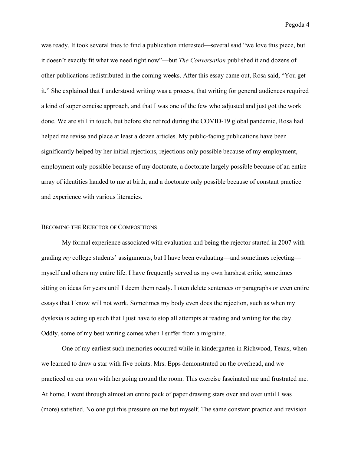was ready. It took several tries to find a publication interested—several said "we love this piece, but it doesn't exactly fit what we need right now"—but *The Conversation* published it and dozens of other publications redistributed in the coming weeks. After this essay came out, Rosa said, "You get it." She explained that I understood writing was a process, that writing for general audiences required a kind of super concise approach, and that I was one of the few who adjusted and just got the work done. We are still in touch, but before she retired during the COVID-19 global pandemic, Rosa had helped me revise and place at least a dozen articles. My public-facing publications have been significantly helped by her initial rejections, rejections only possible because of my employment, employment only possible because of my doctorate, a doctorate largely possible because of an entire array of identities handed to me at birth, and a doctorate only possible because of constant practice and experience with various literacies.

### BECOMING THE REJECTOR OF COMPOSITIONS

My formal experience associated with evaluation and being the rejector started in 2007 with grading *my* college students' assignments, but I have been evaluating—and sometimes rejecting myself and others my entire life. I have frequently served as my own harshest critic, sometimes sitting on ideas for years until I deem them ready. I oten delete sentences or paragraphs or even entire essays that I know will not work. Sometimes my body even does the rejection, such as when my dyslexia is acting up such that I just have to stop all attempts at reading and writing for the day. Oddly, some of my best writing comes when I suffer from a migraine.

One of my earliest such memories occurred while in kindergarten in Richwood, Texas, when we learned to draw a star with five points. Mrs. Epps demonstrated on the overhead, and we practiced on our own with her going around the room. This exercise fascinated me and frustrated me. At home, I went through almost an entire pack of paper drawing stars over and over until I was (more) satisfied. No one put this pressure on me but myself. The same constant practice and revision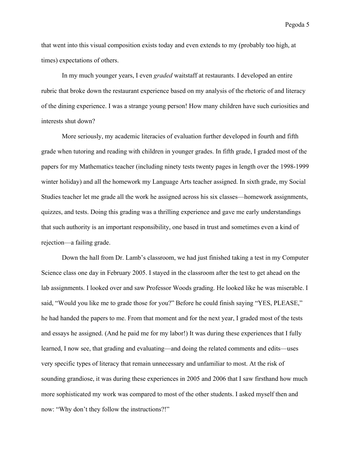that went into this visual composition exists today and even extends to my (probably too high, at times) expectations of others.

In my much younger years, I even *graded* waitstaff at restaurants. I developed an entire rubric that broke down the restaurant experience based on my analysis of the rhetoric of and literacy of the dining experience. I was a strange young person! How many children have such curiosities and interests shut down?

More seriously, my academic literacies of evaluation further developed in fourth and fifth grade when tutoring and reading with children in younger grades. In fifth grade, I graded most of the papers for my Mathematics teacher (including ninety tests twenty pages in length over the 1998-1999 winter holiday) and all the homework my Language Arts teacher assigned. In sixth grade, my Social Studies teacher let me grade all the work he assigned across his six classes—homework assignments, quizzes, and tests. Doing this grading was a thrilling experience and gave me early understandings that such authority is an important responsibility, one based in trust and sometimes even a kind of rejection—a failing grade.

Down the hall from Dr. Lamb's classroom, we had just finished taking a test in my Computer Science class one day in February 2005. I stayed in the classroom after the test to get ahead on the lab assignments. I looked over and saw Professor Woods grading. He looked like he was miserable. I said, "Would you like me to grade those for you?" Before he could finish saying "YES, PLEASE," he had handed the papers to me. From that moment and for the next year, I graded most of the tests and essays he assigned. (And he paid me for my labor!) It was during these experiences that I fully learned, I now see, that grading and evaluating—and doing the related comments and edits—uses very specific types of literacy that remain unnecessary and unfamiliar to most. At the risk of sounding grandiose, it was during these experiences in 2005 and 2006 that I saw firsthand how much more sophisticated my work was compared to most of the other students. I asked myself then and now: "Why don't they follow the instructions?!"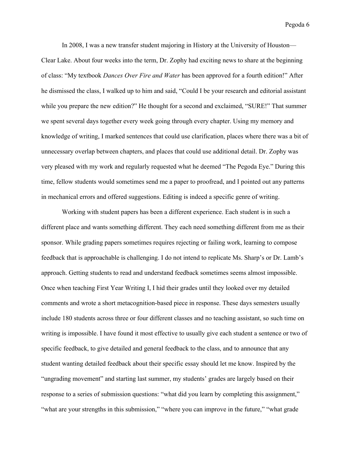In 2008, I was a new transfer student majoring in History at the University of Houston— Clear Lake. About four weeks into the term, Dr. Zophy had exciting news to share at the beginning of class: "My textbook *Dances Over Fire and Water* has been approved for a fourth edition!" After he dismissed the class, I walked up to him and said, "Could I be your research and editorial assistant while you prepare the new edition?" He thought for a second and exclaimed, "SURE!" That summer we spent several days together every week going through every chapter. Using my memory and knowledge of writing, I marked sentences that could use clarification, places where there was a bit of unnecessary overlap between chapters, and places that could use additional detail. Dr. Zophy was very pleased with my work and regularly requested what he deemed "The Pegoda Eye." During this time, fellow students would sometimes send me a paper to proofread, and I pointed out any patterns in mechanical errors and offered suggestions. Editing is indeed a specific genre of writing.

Working with student papers has been a different experience. Each student is in such a different place and wants something different. They each need something different from me as their sponsor. While grading papers sometimes requires rejecting or failing work, learning to compose feedback that is approachable is challenging. I do not intend to replicate Ms. Sharp's or Dr. Lamb's approach. Getting students to read and understand feedback sometimes seems almost impossible. Once when teaching First Year Writing I, I hid their grades until they looked over my detailed comments and wrote a short metacognition-based piece in response. These days semesters usually include 180 students across three or four different classes and no teaching assistant, so such time on writing is impossible. I have found it most effective to usually give each student a sentence or two of specific feedback, to give detailed and general feedback to the class, and to announce that any student wanting detailed feedback about their specific essay should let me know. Inspired by the "ungrading movement" and starting last summer, my students' grades are largely based on their response to a series of submission questions: "what did you learn by completing this assignment," "what are your strengths in this submission," "where you can improve in the future," "what grade"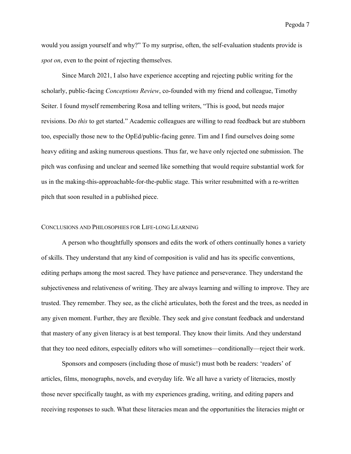would you assign yourself and why?" To my surprise, often, the self-evaluation students provide is *spot on*, even to the point of rejecting themselves.

Since March 2021, I also have experience accepting and rejecting public writing for the scholarly, public-facing *Conceptions Review*, co-founded with my friend and colleague, Timothy Seiter. I found myself remembering Rosa and telling writers, "This is good, but needs major revisions. Do *this* to get started." Academic colleagues are willing to read feedback but are stubborn too, especially those new to the OpEd/public-facing genre. Tim and I find ourselves doing some heavy editing and asking numerous questions. Thus far, we have only rejected one submission. The pitch was confusing and unclear and seemed like something that would require substantial work for us in the making-this-approachable-for-the-public stage. This writer resubmitted with a re-written pitch that soon resulted in a published piece.

### CONCLUSIONS AND PHILOSOPHIES FOR LIFE-LONG LEARNING

A person who thoughtfully sponsors and edits the work of others continually hones a variety of skills. They understand that any kind of composition is valid and has its specific conventions, editing perhaps among the most sacred. They have patience and perseverance. They understand the subjectiveness and relativeness of writing. They are always learning and willing to improve. They are trusted. They remember. They see, as the cliché articulates, both the forest and the trees, as needed in any given moment. Further, they are flexible. They seek and give constant feedback and understand that mastery of any given literacy is at best temporal. They know their limits. And they understand that they too need editors, especially editors who will sometimes—conditionally—reject their work.

Sponsors and composers (including those of music!) must both be readers: 'readers' of articles, films, monographs, novels, and everyday life. We all have a variety of literacies, mostly those never specifically taught, as with my experiences grading, writing, and editing papers and receiving responses to such. What these literacies mean and the opportunities the literacies might or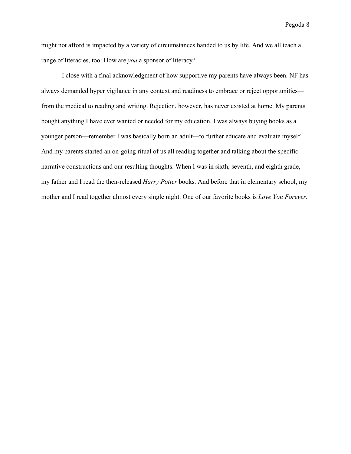might not afford is impacted by a variety of circumstances handed to us by life. And we all teach a range of literacies, too: How are *you* a sponsor of literacy?

I close with a final acknowledgment of how supportive my parents have always been. NF has always demanded hyper vigilance in any context and readiness to embrace or reject opportunities from the medical to reading and writing. Rejection, however, has never existed at home. My parents bought anything I have ever wanted or needed for my education. I was always buying books as a younger person—remember I was basically born an adult—to further educate and evaluate myself. And my parents started an on-going ritual of us all reading together and talking about the specific narrative constructions and our resulting thoughts. When I was in sixth, seventh, and eighth grade, my father and I read the then-released *Harry Potter* books. And before that in elementary school, my mother and I read together almost every single night. One of our favorite books is *Love You Forever*.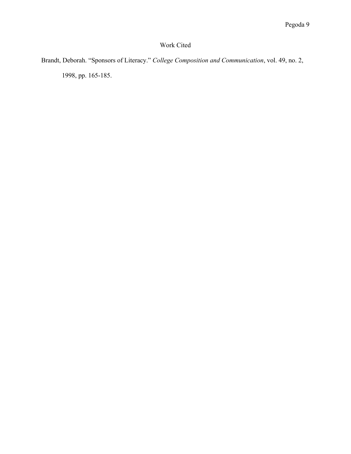# Work Cited

Brandt, Deborah. "Sponsors of Literacy." *College Composition and Communication*, vol. 49, no. 2, 1998, pp. 165-185.